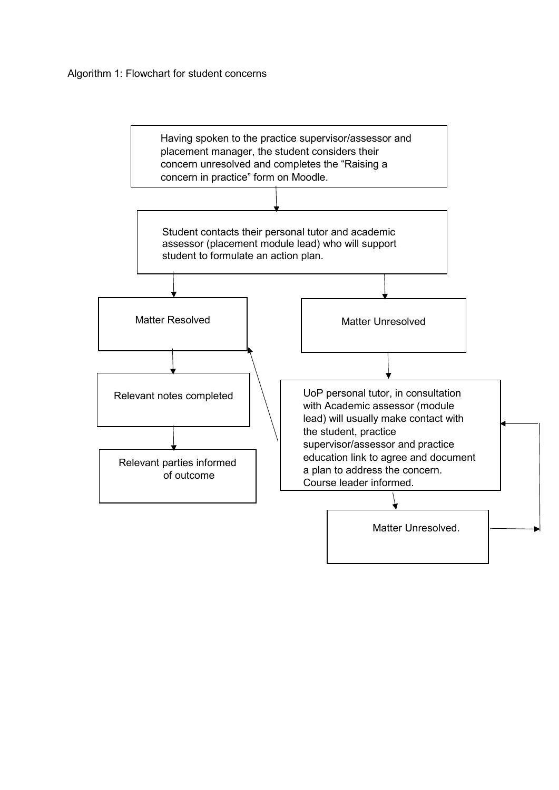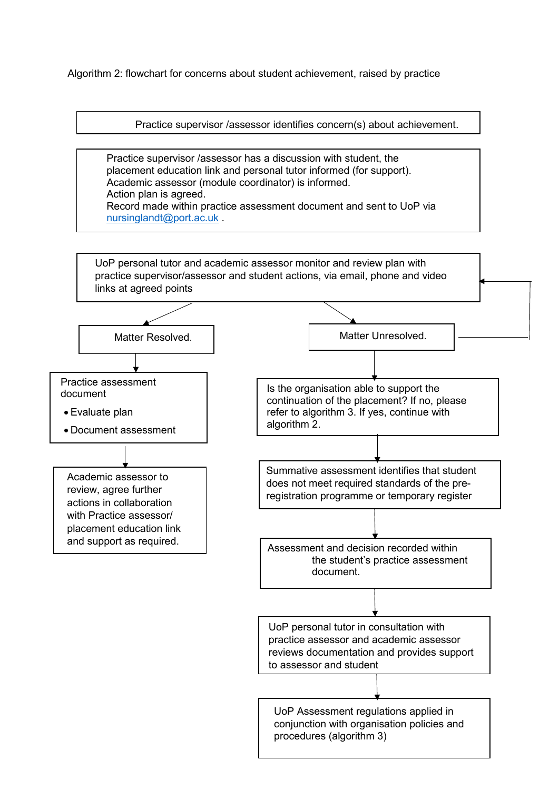Algorithm 2: flowchart for concerns about student achievement, raised by practice